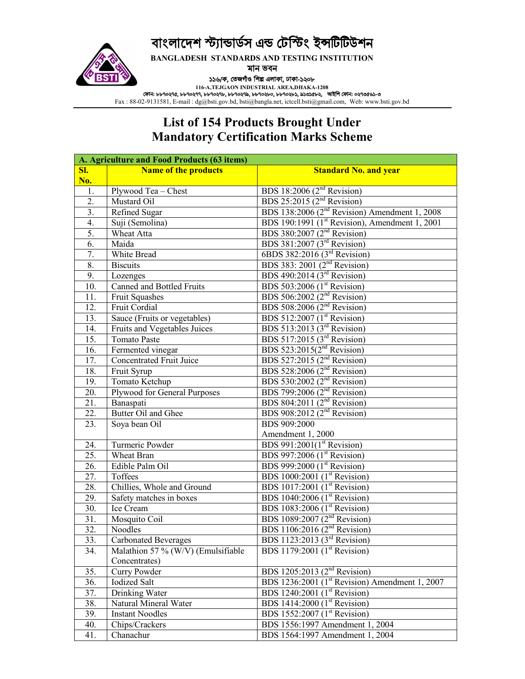# বাংলাদেশ স্ট্যান্ডাৰ্ডস এন্ড টেস্টিং ইন্সটিটিউশন



**BANGLADESH STANDARDS AND TESTING INSTITUTION**

মান ভবন

১১৬/ক, তেজগীও শিল্প এলাকা, ঢাকা-১২০৮

**116-A,TEJGAON INDUSTRIAL AREA,DHAKA-1208** ফান: ৮৮৭০২৭৫, ৮৮৭০২৭৭, ৮৮৭০২৭৮, ৮৮৭০২৭৯, ৮৮৭০২৮০, ৮৮৭০২৮১, ৯১৩১৫৮২, আইিপ ফান: ০২৭৩৫৬১-৩

Fax : 88-02-9131581, E-mail : dg@bsti.gov.bd, bsti@bangla.net, ictcell.bsti@gmail.com, Web: www.bsti.gov.bd

#### **List of 154 Products Brought Under Mandatory Certification Marks Scheme**

|                   | A. Agriculture and Food Products (63 items) |                                                                        |  |  |
|-------------------|---------------------------------------------|------------------------------------------------------------------------|--|--|
| SI.               | <b>Name of the products</b>                 | <b>Standard No. and year</b>                                           |  |  |
| No.               |                                             |                                                                        |  |  |
| 1.                | Plywood Tea - Chest                         | BDS 18:2006 $(2nd$ Revision)                                           |  |  |
| $\overline{2}$ .  | Mustard Oil                                 | BDS $25:2015$ ( $2nd$ Revision)                                        |  |  |
| $\overline{3}$ .  | <b>Refined Sugar</b>                        | BDS 138:2006 (2 <sup>nd</sup> Revision) Amendment 1, 2008              |  |  |
| $\overline{4}$ .  | Suji (Semolina)                             | BDS 190:1991 (1 <sup>st</sup> Revision), Amendment 1, 2001             |  |  |
| 5.                | Wheat Atta                                  | BDS 380:2007 (2 <sup>nd</sup> Revision)                                |  |  |
| 6.                | Maida                                       | BDS 381:2007 (3 <sup>rd</sup> Revision)                                |  |  |
| 7.                | White Bread                                 | 6BDS 382:2016 (3 <sup>rd</sup> Revision)                               |  |  |
| 8.                | <b>Biscuits</b>                             | BDS 383: 2001 $(2nd$ Revision)                                         |  |  |
| 9.                | Lozenges                                    | BDS 490:2014 ( $3rd$ Revision)                                         |  |  |
| 10.               | Canned and Bottled Fruits                   | BDS 503:2006 $(1st Revision)$                                          |  |  |
| 11.               | Fruit Squashes                              | BDS 506:2002 $(2nd$ Revision)                                          |  |  |
| 12.               | Fruit Cordial                               | BDS 508:2006 ( $2nd$ Revision)                                         |  |  |
| 13.               | Sauce (Fruits or vegetables)                | BDS 512:2007 (1 <sup>st</sup> Revision)                                |  |  |
| 14.               | Fruits and Vegetables Juices                | BDS 513:2013 ( $3^{rd}$ Revision)<br>BDS 517:2015 ( $3^{rd}$ Revision) |  |  |
| 15.               | <b>Tomato Paste</b>                         |                                                                        |  |  |
| 16.               | Fermented vinegar                           | BDS 523:2015 $(2nd$ Revision)                                          |  |  |
| 17.               | <b>Concentrated Fruit Juice</b>             |                                                                        |  |  |
| 18.               | Fruit Syrup                                 | BDS 527:2015 ( $2nd$ Revision)<br>BDS 528:2006 ( $2nd$ Revision)       |  |  |
| 19.               | <b>Tomato Ketchup</b>                       | BDS 530:2002 (2 <sup>nd</sup> Revision)                                |  |  |
| 20.               | Plywood for General Purposes                | BDS 799:2006 (2 <sup>nd</sup> Revision)                                |  |  |
| 21.               | Banaspati                                   | BDS 804:2011 (2 <sup>nd</sup> Revision)                                |  |  |
| 22.               | <b>Butter Oil and Ghee</b>                  | BDS 908:2012 ( $2nd$ Revision)                                         |  |  |
| 23.               | Soya bean Oil                               | <b>BDS</b> 909:2000                                                    |  |  |
|                   |                                             | Amendment 1, 2000                                                      |  |  |
| 24.               | Turmeric Powder                             | BDS 991:2001( $1st$ Revision)                                          |  |  |
| 25.               | Wheat Bran                                  | BDS 997:2006 $(1st Revision)$                                          |  |  |
| 26.               | Edible Palm Oil                             | BDS 999:2000 (1 <sup>st</sup> Revision)                                |  |  |
| 27.               | Toffees                                     | BDS 1000:2001 ( $1st$ Revision)                                        |  |  |
| 28.               | Chillies, Whole and Ground                  | BDS 1017:2001 (1 <sup>st</sup> Revision)                               |  |  |
| 29.               | Safety matches in boxes                     | BDS 1040:2006 (1 <sup>st</sup> Revision)                               |  |  |
| 30.               | Ice Cream                                   | BDS 1083:2006 (1 <sup>st</sup> Revision)                               |  |  |
| $\overline{31}$ . | Mosquito Coil                               | BDS 1089:2007 ( $2nd$ Revision)<br>BDS 1106:2016 ( $2nd$ Revision)     |  |  |
| 32.               | Noodles                                     |                                                                        |  |  |
| 33.               | <b>Carbonated Beverages</b>                 | BDS 1123:2013 (3 <sup>rd</sup> Revision)                               |  |  |
| 34.               | Malathion 57 % (W/V) (Emulsifiable          | BDS 1179:2001 $(1st Revision)$                                         |  |  |
|                   | Concentrates)                               |                                                                        |  |  |
| 35.               | Curry Powder                                | BDS 1205:2013 ( $2nd$ Revision)                                        |  |  |
| 36.               | <b>Iodized Salt</b>                         | BDS 1236:2001 (1 <sup>st</sup> Revision) Amendment 1, 2007             |  |  |
| 37.               | Drinking Water                              | BDS 1240:2001 (1 <sup>st</sup> Revision)                               |  |  |
| 38.               | Natural Mineral Water                       | BDS 1414:2000 $(1st Revision)$                                         |  |  |
| 39.               | <b>Instant Noodles</b>                      | <b>BDS</b> 1552:2007 (1 <sup>st</sup> Revision)                        |  |  |
| 40.               | Chips/Crackers                              | BDS 1556:1997 Amendment 1, 2004                                        |  |  |
| 41.               | Chanachur                                   | BDS 1564:1997 Amendment 1, 2004                                        |  |  |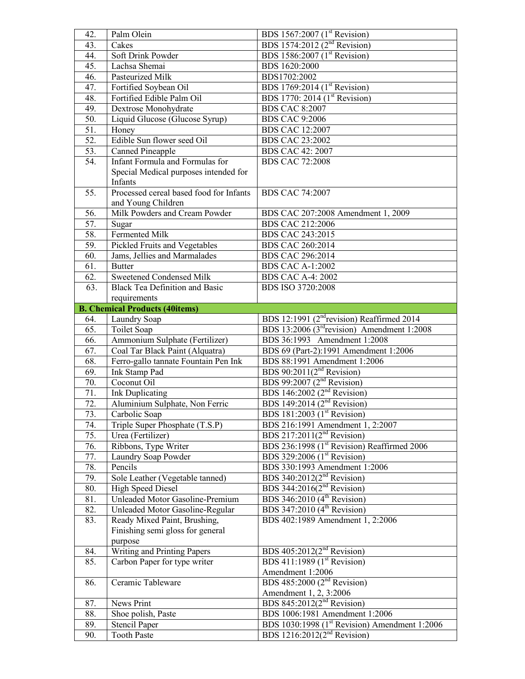| 42.               | Palm Olein                                       | BDS 1567:2007 (1 <sup>st</sup> Revision)                                                             |  |
|-------------------|--------------------------------------------------|------------------------------------------------------------------------------------------------------|--|
| 43.               | Cakes                                            | BDS 1574:2012 (2 <sup>nd</sup> Revision)                                                             |  |
| 44.               | Soft Drink Powder                                | BDS 1586:2007 (1 <sup>st</sup> Revision)                                                             |  |
| 45.               | Lachsa Shemai                                    | BDS 1620:2000                                                                                        |  |
| 46.               | Pasteurized Milk                                 | BDS1702:2002                                                                                         |  |
| 47.               | Fortified Soybean Oil                            | BDS 1769:2014 (1 <sup>st</sup> Revision)                                                             |  |
| 48.               | Fortified Edible Palm Oil                        | BDS 1770: 2014 (1 <sup>st</sup> Revision)                                                            |  |
| 49.               | Dextrose Monohydrate                             | <b>BDS CAC 8:2007</b>                                                                                |  |
| 50.               | Liquid Glucose (Glucose Syrup)                   | <b>BDS CAC 9:2006</b>                                                                                |  |
| $\overline{51}$ . | Honey                                            | <b>BDS CAC 12:2007</b>                                                                               |  |
| 52.               | Edible Sun flower seed Oil                       | <b>BDS CAC 23:2002</b>                                                                               |  |
| 53.               | <b>Canned Pineapple</b>                          | <b>BDS CAC 42: 2007</b>                                                                              |  |
| 54.               | Infant Formula and Formulas for                  | <b>BDS CAC 72:2008</b>                                                                               |  |
|                   | Special Medical purposes intended for<br>Infants |                                                                                                      |  |
| $\overline{55}$ . | Processed cereal based food for Infants          | <b>BDS CAC 74:2007</b>                                                                               |  |
|                   | and Young Children                               |                                                                                                      |  |
| 56.               | Milk Powders and Cream Powder                    | BDS CAC 207:2008 Amendment 1, 2009                                                                   |  |
| 57.               | Sugar                                            | <b>BDS CAC 212:2006</b>                                                                              |  |
| 58.               | Fermented Milk                                   | BDS CAC 243:2015                                                                                     |  |
| 59.               | Pickled Fruits and Vegetables                    | BDS CAC 260:2014                                                                                     |  |
| 60.               | Jams, Jellies and Marmalades                     | BDS CAC 296:2014                                                                                     |  |
| 61.               | <b>Butter</b>                                    | <b>BDS CAC A-1:2002</b>                                                                              |  |
| 62.               | Sweetened Condensed Milk                         | <b>BDS CAC A-4: 2002</b>                                                                             |  |
| 63.               | <b>Black Tea Definition and Basic</b>            | BDS ISO 3720:2008                                                                                    |  |
|                   | requirements                                     |                                                                                                      |  |
|                   | <b>B. Chemical Products (40items)</b>            |                                                                                                      |  |
| 64.               | Laundry Soap                                     | BDS 12:1991 (2 <sup>nd</sup> revision) Reaffirmed 2014                                               |  |
| 65.               | Toilet Soap                                      | BDS 13:2006 ( $3rd$ revision) Amendment 1:2008                                                       |  |
|                   |                                                  |                                                                                                      |  |
| 66.               | Ammonium Sulphate (Fertilizer)                   | BDS 36:1993 Amendment 1:2008                                                                         |  |
| 67.               | Coal Tar Black Paint (Alquatra)                  | BDS 69 (Part-2):1991 Amendment 1:2006                                                                |  |
| 68.               | Ferro-gallo tannate Fountain Pen Ink             | BDS 88:1991 Amendment 1:2006                                                                         |  |
| 69.               | <b>Ink Stamp Pad</b>                             | BDS 90:2011( $2nd$ Revision)                                                                         |  |
| 70.               | Coconut Oil                                      | BDS 99:2007 ( $2nd$ Revision)                                                                        |  |
| 71.               | <b>Ink Duplicating</b>                           | BDS 146:2002 $(2nd Revision)$                                                                        |  |
| $\overline{72}$ . | Aluminium Sulphate, Non Ferric                   | BDS 149:2014 $(2nd$ Revision)                                                                        |  |
| 73.               | Carbolic Soap                                    | <b>BDS</b> 181:2003 (1 <sup>st</sup> Revision)                                                       |  |
| 74.               | Triple Super Phosphate (T.S.P)                   | BDS 216:1991 Amendment 1, 2:2007                                                                     |  |
| 75.               | Urea (Fertilizer)                                | BDS 217:2011 $(2nd$ Revision)                                                                        |  |
| 76.               | Ribbons, Type Writer                             | BDS 236:1998 (1 <sup>st</sup> Revision) Reaffirmed 2006                                              |  |
| 77.               | Laundry Soap Powder                              | BDS 329:2006 (1 <sup>st</sup> Revision)                                                              |  |
| 78.               | Pencils                                          | BDS 330:1993 Amendment 1:2006                                                                        |  |
| 79.               | Sole Leather (Vegetable tanned)                  | BDS 340:2012 $(2nd$ Revision)                                                                        |  |
| 80.               | <b>High Speed Diesel</b>                         | BDS 344:2016 $(2nd$ Revision)                                                                        |  |
| 81.               | Unleaded Motor Gasoline-Premium                  | BDS 346:2010 $(4th$ Revision)                                                                        |  |
| 82.               | <b>Unleaded Motor Gasoline-Regular</b>           | BDS 347:2010 $(4th$ Revision)                                                                        |  |
| 83.               | Ready Mixed Paint, Brushing,                     | BDS 402:1989 Amendment 1, 2:2006                                                                     |  |
|                   | Finishing semi gloss for general                 |                                                                                                      |  |
|                   | purpose                                          |                                                                                                      |  |
| 84.               | Writing and Printing Papers                      | BDS $405:2012(2nd Revision)$                                                                         |  |
| 85.               | Carbon Paper for type writer                     | BDS 411:1989 $(1st Revision)$                                                                        |  |
|                   |                                                  | Amendment 1:2006                                                                                     |  |
| 86.               | Ceramic Tableware                                | BDS 485:2000 $(2nd$ Revision)                                                                        |  |
|                   |                                                  | Amendment 1, 2, 3:2006                                                                               |  |
| 87.               | News Print                                       | BDS 845:2012 $(2nd$ Revision)                                                                        |  |
| 88.               | Shoe polish, Paste                               | BDS 1006:1981 Amendment 1:2006                                                                       |  |
| 89.<br>90.        | <b>Stencil Paper</b><br><b>Tooth Paste</b>       | BDS 1030:1998 (1 <sup>st</sup> Revision) Amendment 1:2006<br>BDS 1216:2012(2 <sup>nd</sup> Revision) |  |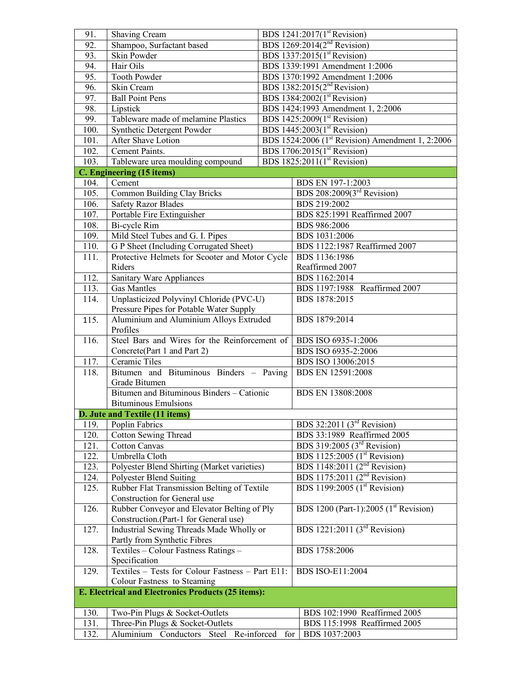| 91.                                                | Shaving Cream                                    | BDS $1241:2017(1st Revision)$           |                                                              |  |
|----------------------------------------------------|--------------------------------------------------|-----------------------------------------|--------------------------------------------------------------|--|
| 92.                                                | Shampoo, Surfactant based                        | BDS 1269:2014(2 <sup>nd</sup> Revision) |                                                              |  |
| 93.                                                | <b>Skin Powder</b>                               |                                         | BDS 1337:2015(1 <sup>st</sup> Revision)                      |  |
| 94.                                                | Hair Oils                                        |                                         | BDS 1339:1991 Amendment 1:2006                               |  |
| 95.                                                | <b>Tooth Powder</b>                              |                                         | BDS 1370:1992 Amendment 1:2006                               |  |
| 96.                                                | Skin Cream                                       |                                         | BDS 1382:2015(2 <sup>nd</sup> Revision)                      |  |
| 97.                                                | <b>Ball Point Pens</b>                           |                                         | BDS 1384:2002(1 <sup>st</sup> Revision)                      |  |
| 98.                                                | Lipstick                                         |                                         | BDS 1424:1993 Amendment 1, 2:2006                            |  |
| 99.                                                | Tableware made of melamine Plastics              |                                         | BDS 1425:2009(1 <sup>st</sup> Revision)                      |  |
| 100.                                               | Synthetic Detergent Powder                       |                                         | BDS 1445:2003(1 <sup>st</sup> Revision)                      |  |
| 101.                                               | <b>After Shave Lotion</b>                        |                                         | BDS 1524:2006 (1 <sup>st</sup> Revision) Amendment 1, 2:2006 |  |
| 102.                                               | Cement Paints.                                   |                                         | BDS 1706:2015(1 <sup>st</sup> Revision)                      |  |
| 103.                                               | Tableware urea moulding compound                 |                                         | BDS 1825:2011(1 <sup>st</sup> Revision)                      |  |
|                                                    | C. Engineering (15 items)                        |                                         |                                                              |  |
| 104.                                               | Cement                                           |                                         | BDS EN 197-1:2003                                            |  |
| 105.                                               | Common Building Clay Bricks                      |                                         | BDS 208:2009(3 <sup>rd</sup> Revision)                       |  |
| 106.                                               | <b>Safety Razor Blades</b>                       |                                         | BDS 219:2002                                                 |  |
| 107.                                               | Portable Fire Extinguisher                       |                                         | BDS 825:1991 Reaffirmed 2007                                 |  |
| 108.                                               | Bi-cycle Rim                                     |                                         | BDS 986:2006                                                 |  |
| 109.                                               | Mild Steel Tubes and G. I. Pipes                 |                                         | BDS 1031:2006                                                |  |
| 110.                                               | G P Sheet (Including Corrugated Sheet)           |                                         | BDS 1122:1987 Reaffirmed 2007                                |  |
| 111.                                               | Protective Helmets for Scooter and Motor Cycle   |                                         | BDS 1136:1986                                                |  |
|                                                    | Riders                                           |                                         | Reaffirmed 2007                                              |  |
| 112.                                               | Sanitary Ware Appliances                         |                                         | BDS 1162:2014                                                |  |
| $\overline{11}3.$                                  | <b>Gas Mantles</b>                               |                                         | BDS 1197:1988 Reaffirmed 2007                                |  |
| 114.                                               | Unplasticized Polyvinyl Chloride (PVC-U)         |                                         | BDS 1878:2015                                                |  |
|                                                    | Pressure Pipes for Potable Water Supply          |                                         |                                                              |  |
| 115.                                               | Aluminium and Aluminium Alloys Extruded          | BDS 1879:2014                           |                                                              |  |
|                                                    | Profiles                                         |                                         |                                                              |  |
| 116.                                               | Steel Bars and Wires for the Reinforcement of    |                                         | BDS ISO 6935-1:2006                                          |  |
|                                                    | Concrete(Part 1 and Part 2)                      |                                         | BDS ISO 6935-2:2006                                          |  |
| 117.                                               | Ceramic Tiles                                    |                                         | BDS ISO 13006:2015                                           |  |
| 118.                                               | Bitumen and Bituminous Binders - Paving          |                                         | BDS EN 12591:2008                                            |  |
|                                                    | Grade Bitumen                                    |                                         |                                                              |  |
|                                                    | Bitumen and Bituminous Binders - Cationic        |                                         | BDS EN 13808:2008                                            |  |
|                                                    | <b>Bituminous Emulsions</b>                      |                                         |                                                              |  |
|                                                    | D. Jute and Textile (11 items)                   |                                         |                                                              |  |
| 119.                                               | Poplin Fabrics                                   |                                         | BDS 32:2011 $(3rd$ Revision)                                 |  |
| 120.                                               | <b>Cotton Sewing Thread</b>                      |                                         | BDS 33:1989 Reaffirmed 2005                                  |  |
| 121.                                               | <b>Cotton Canvas</b>                             |                                         | BDS 319:2005 ( $3rd$ Revision)                               |  |
| 122.                                               | Umbrella Cloth                                   |                                         | BDS 1125:2005 (1 <sup>st</sup> Revision)                     |  |
| 123.                                               | Polyester Blend Shirting (Market varieties)      |                                         | BDS 1148:2011 (2 <sup>nd</sup> Revision)                     |  |
| 124.                                               | Polyester Blend Suiting                          |                                         | BDS 1175:2011 ( $2nd$ Revision)                              |  |
| 125.                                               | Rubber Flat Transmission Belting of Textile      |                                         | BDS 1199:2005 (1 <sup>st</sup> Revision)                     |  |
|                                                    | Construction for General use                     |                                         |                                                              |  |
| 126.                                               | Rubber Conveyor and Elevator Belting of Ply      |                                         | BDS 1200 (Part-1):2005 (1 <sup>st</sup> Revision)            |  |
|                                                    | Construction.(Part-1 for General use)            |                                         |                                                              |  |
| 127.                                               | Industrial Sewing Threads Made Wholly or         |                                         | BDS 1221:2011 $(3rd$ Revision)                               |  |
|                                                    | Partly from Synthetic Fibres                     |                                         |                                                              |  |
| 128.                                               | Textiles - Colour Fastness Ratings -             |                                         | BDS 1758:2006                                                |  |
|                                                    | Specification                                    |                                         |                                                              |  |
| 129.                                               | Textiles - Tests for Colour Fastness - Part E11: |                                         | <b>BDS ISO-E11:2004</b>                                      |  |
|                                                    | Colour Fastness to Steaming                      |                                         |                                                              |  |
| E. Electrical and Electronics Products (25 items): |                                                  |                                         |                                                              |  |
|                                                    |                                                  |                                         |                                                              |  |
| 130.                                               | Two-Pin Plugs & Socket-Outlets                   |                                         | BDS 102:1990 Reaffirmed 2005                                 |  |
| 131.<br>132.                                       | Three-Pin Plugs & Socket-Outlets                 |                                         | BDS 115:1998 Reaffirmed 2005                                 |  |
|                                                    | Aluminium Conductors Steel Re-inforced           | for                                     | BDS 1037:2003                                                |  |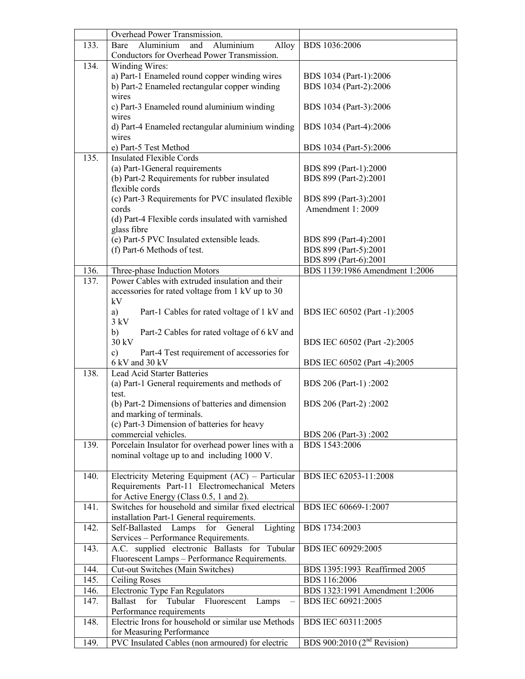|      | Overhead Power Transmission.                                   |                                |
|------|----------------------------------------------------------------|--------------------------------|
| 133. | Aluminium<br>Aluminium<br>Alloy<br>Bare<br>and                 | BDS 1036:2006                  |
|      | Conductors for Overhead Power Transmission.                    |                                |
| 134. | Winding Wires:                                                 |                                |
|      | a) Part-1 Enameled round copper winding wires                  | BDS 1034 (Part-1):2006         |
|      | b) Part-2 Enameled rectangular copper winding                  | BDS 1034 (Part-2):2006         |
|      | wires                                                          |                                |
|      | c) Part-3 Enameled round aluminium winding                     | BDS 1034 (Part-3):2006         |
|      | wires                                                          |                                |
|      | d) Part-4 Enameled rectangular aluminium winding               | BDS 1034 (Part-4):2006         |
|      | wires                                                          |                                |
|      | e) Part-5 Test Method                                          | BDS 1034 (Part-5):2006         |
| 135. | <b>Insulated Flexible Cords</b>                                |                                |
|      | (a) Part-1General requirements                                 | BDS 899 (Part-1):2000          |
|      | (b) Part-2 Requirements for rubber insulated<br>flexible cords | BDS 899 (Part-2):2001          |
|      | (c) Part-3 Requirements for PVC insulated flexible             | BDS 899 (Part-3):2001          |
|      | cords                                                          | Amendment 1: 2009              |
|      | (d) Part-4 Flexible cords insulated with varnished             |                                |
|      | glass fibre                                                    |                                |
|      | (e) Part-5 PVC Insulated extensible leads.                     | BDS 899 (Part-4):2001          |
|      | (f) Part-6 Methods of test.                                    | BDS 899 (Part-5):2001          |
|      |                                                                | BDS 899 (Part-6):2001          |
| 136. | Three-phase Induction Motors                                   | BDS 1139:1986 Amendment 1:2006 |
| 137. | Power Cables with extruded insulation and their                |                                |
|      | accessories for rated voltage from 1 kV up to 30               |                                |
|      | kV                                                             |                                |
|      | Part-1 Cables for rated voltage of 1 kV and<br>a)              | BDS IEC 60502 (Part -1):2005   |
|      | 3 kV                                                           |                                |
|      | Part-2 Cables for rated voltage of 6 kV and<br>b)              |                                |
|      | 30 kV                                                          | BDS IEC 60502 (Part -2):2005   |
|      | $\mathbf{c})$<br>Part-4 Test requirement of accessories for    |                                |
| 138. | 6 kV and 30 kV<br><b>Lead Acid Starter Batteries</b>           | BDS IEC 60502 (Part -4):2005   |
|      | (a) Part-1 General requirements and methods of                 | BDS 206 (Part-1):2002          |
|      | test.                                                          |                                |
|      | (b) Part-2 Dimensions of batteries and dimension               | BDS 206 (Part-2):2002          |
|      | and marking of terminals.                                      |                                |
|      | (c) Part-3 Dimension of batteries for heavy                    |                                |
|      | commercial vehicles.                                           | BDS 206 (Part-3):2002          |
| 139. | Porcelain Insulator for overhead power lines with a            | BDS 1543:2006                  |
|      | nominal voltage up to and including 1000 V.                    |                                |
|      |                                                                |                                |
| 140. | Electricity Metering Equipment (AC) - Particular               | BDS IEC 62053-11:2008          |
|      | Requirements Part-11 Electromechanical Meters                  |                                |
|      | for Active Energy (Class 0.5, 1 and 2).                        |                                |
| 141. | Switches for household and similar fixed electrical            | BDS IEC 60669-1:2007           |
|      | installation Part-1 General requirements.                      |                                |
| 142. | Lighting<br>Self-Ballasted Lamps for General                   | BDS 1734:2003                  |
|      | Services - Performance Requirements.                           |                                |
| 143. | A.C. supplied electronic Ballasts for Tubular                  | BDS IEC 60929:2005             |
|      | Fluorescent Lamps - Performance Requirements.                  |                                |
| 144. | Cut-out Switches (Main Switches)                               | BDS 1395:1993 Reaffirmed 2005  |
| 145. | <b>Ceiling Roses</b>                                           | BDS 116:2006                   |
| 146. | Electronic Type Fan Regulators<br>Ballast<br>for               | BDS 1323:1991 Amendment 1:2006 |
| 147. | Tubular<br>Fluorescent<br>Lamps<br>Performance requirements    | BDS IEC 60921:2005             |
| 148. | Electric Irons for household or similar use Methods            | BDS IEC 60311:2005             |
|      | for Measuring Performance                                      |                                |
| 149. | PVC Insulated Cables (non armoured) for electric               | BDS 900:2010 $(2nd$ Revision)  |
|      |                                                                |                                |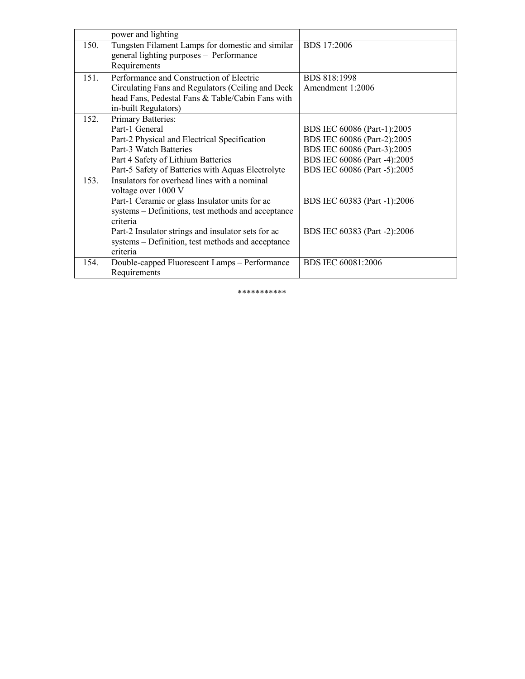|      | power and lighting                                 |                              |
|------|----------------------------------------------------|------------------------------|
| 150. | Tungsten Filament Lamps for domestic and similar   | <b>BDS</b> 17:2006           |
|      | general lighting purposes - Performance            |                              |
|      | Requirements                                       |                              |
| 151. | Performance and Construction of Electric           | <b>BDS 818:1998</b>          |
|      | Circulating Fans and Regulators (Ceiling and Deck  | Amendment 1:2006             |
|      | head Fans, Pedestal Fans & Table/Cabin Fans with   |                              |
|      | in-built Regulators)                               |                              |
| 152. | Primary Batteries:                                 |                              |
|      | Part-1 General                                     | BDS IEC 60086 (Part-1):2005  |
|      | Part-2 Physical and Electrical Specification       | BDS IEC 60086 (Part-2):2005  |
|      | Part-3 Watch Batteries                             | BDS IEC 60086 (Part-3):2005  |
|      | Part 4 Safety of Lithium Batteries                 | BDS IEC 60086 (Part -4):2005 |
|      | Part-5 Safety of Batteries with Aquas Electrolyte  | BDS IEC 60086 (Part -5):2005 |
| 153. | Insulators for overhead lines with a nominal       |                              |
|      | voltage over 1000 V                                |                              |
|      | Part-1 Ceramic or glass Insulator units for ac     | BDS IEC 60383 (Part -1):2006 |
|      | systems - Definitions, test methods and acceptance |                              |
|      | criteria                                           |                              |
|      | Part-2 Insulator strings and insulator sets for ac | BDS IEC 60383 (Part -2):2006 |
|      | systems - Definition, test methods and acceptance  |                              |
|      | criteria                                           |                              |
| 154. | Double-capped Fluorescent Lamps - Performance      | BDS IEC 60081:2006           |
|      | Requirements                                       |                              |

\*\*\*\*\*\*\*\*\*\*\*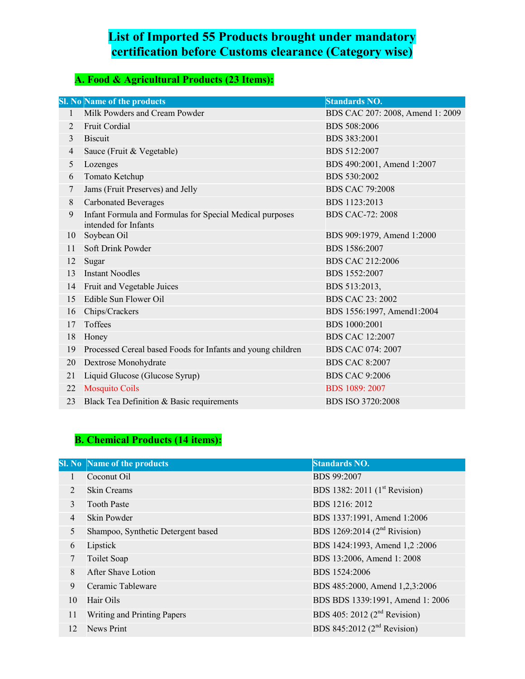## **List of Imported 55 Products brought under mandatory certification before Customs clearance (Category wise)**

## **A. Food & Agricultural Products (23 Items):**

|                | <b>Sl. No Name of the products</b>                                               | <b>Standards NO.</b>             |
|----------------|----------------------------------------------------------------------------------|----------------------------------|
| 1              | Milk Powders and Cream Powder                                                    | BDS CAC 207: 2008, Amend 1: 2009 |
| $\overline{2}$ | <b>Fruit Cordial</b>                                                             | BDS 508:2006                     |
| 3              | <b>Biscuit</b>                                                                   | BDS 383:2001                     |
| 4              | Sauce (Fruit & Vegetable)                                                        | BDS 512:2007                     |
| 5              | Lozenges                                                                         | BDS 490:2001, Amend 1:2007       |
| 6              | Tomato Ketchup                                                                   | BDS 530:2002                     |
| 7              | Jams (Fruit Preserves) and Jelly                                                 | <b>BDS CAC 79:2008</b>           |
| 8              | <b>Carbonated Beverages</b>                                                      | BDS 1123:2013                    |
| 9              | Infant Formula and Formulas for Special Medical purposes<br>intended for Infants | <b>BDS CAC-72: 2008</b>          |
| 10             | Soybean Oil                                                                      | BDS 909:1979, Amend 1:2000       |
| 11             | Soft Drink Powder                                                                | BDS 1586:2007                    |
| 12             | Sugar                                                                            | <b>BDS CAC 212:2006</b>          |
| 13             | <b>Instant Noodles</b>                                                           | BDS 1552:2007                    |
| 14             | Fruit and Vegetable Juices                                                       | BDS 513:2013,                    |
| 15             | Edible Sun Flower Oil                                                            | <b>BDS CAC 23: 2002</b>          |
| 16             | Chips/Crackers                                                                   | BDS 1556:1997, Amend1:2004       |
| 17             | Toffees                                                                          | BDS 1000:2001                    |
| 18             | Honey                                                                            | <b>BDS CAC 12:2007</b>           |
| 19             | Processed Cereal based Foods for Infants and young children                      | <b>BDS CAC 074: 2007</b>         |
| 20             | Dextrose Monohydrate                                                             | <b>BDS CAC 8:2007</b>            |
| 21             | Liquid Glucose (Glucose Syrup)                                                   | <b>BDS CAC 9:2006</b>            |
| 22             | <b>Mosquito Coils</b>                                                            | <b>BDS</b> 1089: 2007            |
| 23             | Black Tea Definition & Basic requirements                                        | <b>BDS ISO 3720:2008</b>         |

# **B. Chemical Products (14 items):**

|                | <b>Sl. No</b> Name of the products | <b>Standards NO.</b>                      |  |  |
|----------------|------------------------------------|-------------------------------------------|--|--|
|                | Coconut Oil                        | <b>BDS 99:2007</b>                        |  |  |
| $\overline{2}$ | <b>Skin Creams</b>                 | BDS 1382: 2011 (1 <sup>st</sup> Revision) |  |  |
| 3              | <b>Tooth Paste</b>                 | BDS 1216: 2012                            |  |  |
| $\overline{4}$ | Skin Powder                        | BDS 1337:1991, Amend 1:2006               |  |  |
| 5              | Shampoo, Synthetic Detergent based | BDS 1269:2014 ( $2^{nd}$ Rivision)        |  |  |
| 6              | Lipstick                           | BDS 1424:1993, Amend 1,2:2006             |  |  |
|                | Toilet Soap                        | BDS 13:2006, Amend 1: 2008                |  |  |
| 8              | <b>After Shave Lotion</b>          | BDS 1524:2006                             |  |  |
| 9              | Ceramic Tableware                  | BDS 485:2000, Amend 1,2,3:2006            |  |  |
| 10             | Hair Oils                          | BDS BDS 1339:1991, Amend 1: 2006          |  |  |
| 11             | Writing and Printing Papers        | BDS 405: 2012 $(2nd$ Revision)            |  |  |
| 12             | <b>News Print</b>                  | BDS 845:2012 ( $2nd$ Revision)            |  |  |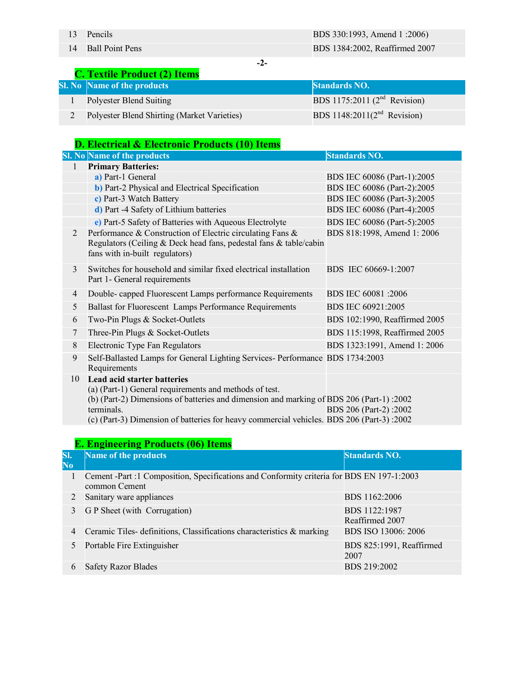**-2-**

|  |  | <b>C. Textile Product (2) Items</b> |  |  |  |  |
|--|--|-------------------------------------|--|--|--|--|
|--|--|-------------------------------------|--|--|--|--|

| <b>Sl. No Name of the products</b>          | <b>Standards NO.</b>              |
|---------------------------------------------|-----------------------------------|
| Polyester Blend Suiting                     | BDS 1175:2011 ( $2nd$ Revision)   |
| Polyester Blend Shirting (Market Varieties) | BDS 1148:2011 $(2^{nd}$ Revision) |

#### **D. Electrical & Electronic Products (10) Items**

|    | <b>Sl. No Name of the products</b>                                                                                                                                                                                                                                                                | <b>Standards NO.</b>          |
|----|---------------------------------------------------------------------------------------------------------------------------------------------------------------------------------------------------------------------------------------------------------------------------------------------------|-------------------------------|
|    | <b>Primary Batteries:</b>                                                                                                                                                                                                                                                                         |                               |
|    | a) Part-1 General                                                                                                                                                                                                                                                                                 | BDS IEC 60086 (Part-1):2005   |
|    | <b>b</b> ) Part-2 Physical and Electrical Specification                                                                                                                                                                                                                                           | BDS IEC 60086 (Part-2):2005   |
|    | c) Part-3 Watch Battery                                                                                                                                                                                                                                                                           | BDS IEC 60086 (Part-3):2005   |
|    | d) Part -4 Safety of Lithium batteries                                                                                                                                                                                                                                                            | BDS IEC 60086 (Part-4):2005   |
|    | e) Part-5 Safety of Batteries with Aqueous Electrolyte                                                                                                                                                                                                                                            | BDS IEC 60086 (Part-5):2005   |
| 2  | Performance & Construction of Electric circulating Fans &<br>Regulators (Ceiling & Deck head fans, pedestal fans & table/cabin<br>fans with in-built regulators)                                                                                                                                  | BDS 818:1998, Amend 1: 2006   |
| 3  | Switches for household and similar fixed electrical installation<br>Part 1- General requirements                                                                                                                                                                                                  | BDS IEC 60669-1:2007          |
| 4  | Double- capped Fluorescent Lamps performance Requirements                                                                                                                                                                                                                                         | BDS IEC 60081 :2006           |
| 5  | Ballast for Fluorescent Lamps Performance Requirements                                                                                                                                                                                                                                            | BDS IEC 60921:2005            |
| 6  | Two-Pin Plugs & Socket-Outlets                                                                                                                                                                                                                                                                    | BDS 102:1990, Reaffirmed 2005 |
| 7  | Three-Pin Plugs & Socket-Outlets                                                                                                                                                                                                                                                                  | BDS 115:1998, Reaffirmed 2005 |
| 8  | Electronic Type Fan Regulators                                                                                                                                                                                                                                                                    | BDS 1323:1991, Amend 1: 2006  |
| 9  | Self-Ballasted Lamps for General Lighting Services- Performance BDS 1734:2003<br>Requirements                                                                                                                                                                                                     |                               |
| 10 | <b>Lead acid starter batteries</b><br>(a) (Part-1) General requirements and methods of test.<br>(b) (Part-2) Dimensions of batteries and dimension and marking of BDS 206 (Part-1):2002<br>terminals.<br>(c) (Part-3) Dimension of batteries for heavy commercial vehicles. BDS 206 (Part-3):2002 | BDS 206 (Part-2):2002         |

|                 | <b>E. Engineering Products (06) Items</b>                                                                  |                                  |  |  |
|-----------------|------------------------------------------------------------------------------------------------------------|----------------------------------|--|--|
| SI.<br>$\bf No$ | Name of the products                                                                                       | <b>Standards NO.</b>             |  |  |
|                 | Cement -Part :1 Composition, Specifications and Conformity criteria for BDS EN 197-1:2003<br>common Cement |                                  |  |  |
|                 | Sanitary ware appliances                                                                                   | BDS 1162:2006                    |  |  |
| $\mathcal{E}$   | G P Sheet (with Corrugation)                                                                               | BDS 1122:1987<br>Reaffirmed 2007 |  |  |
| $\overline{4}$  | Ceramic Tiles- definitions, Classifications characteristics & marking                                      | BDS ISO 13006: 2006              |  |  |
| 5               | Portable Fire Extinguisher                                                                                 | BDS 825:1991, Reaffirmed<br>2007 |  |  |
| 6               | <b>Safety Razor Blades</b>                                                                                 | BDS 219:2002                     |  |  |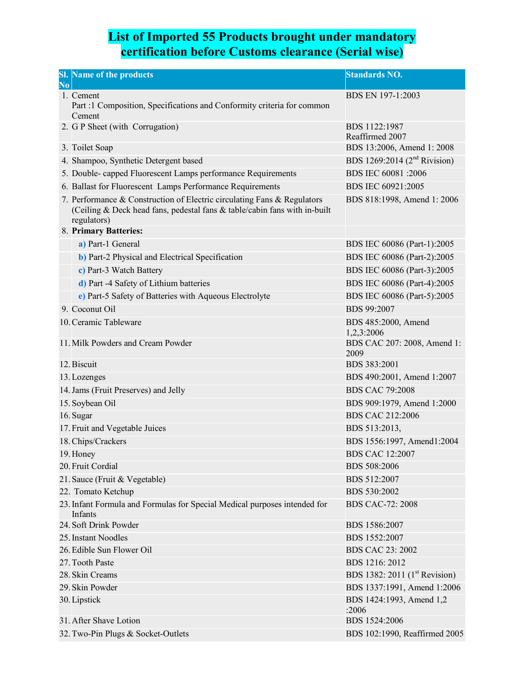#### **List of Imported 55 Products brought under mandatory certification before Customs clearance (Serial wise)**

| N <sub>0</sub> | <b>Sl.</b> Name of the products                                                                                                                                     | <b>Standards NO.</b>                      |
|----------------|---------------------------------------------------------------------------------------------------------------------------------------------------------------------|-------------------------------------------|
|                | 1. Cement<br>Part :1 Composition, Specifications and Conformity criteria for common<br>Cement                                                                       | BDS EN 197-1:2003                         |
|                | 2. G P Sheet (with Corrugation)                                                                                                                                     | BDS 1122:1987<br>Reaffirmed 2007          |
|                | 3. Toilet Soap                                                                                                                                                      | BDS 13:2006, Amend 1: 2008                |
|                | 4. Shampoo, Synthetic Detergent based                                                                                                                               | BDS 1269:2014 ( $2^{nd}$ Rivision)        |
|                | 5. Double- capped Fluorescent Lamps performance Requirements                                                                                                        | BDS IEC 60081 :2006                       |
|                | 6. Ballast for Fluorescent Lamps Performance Requirements                                                                                                           | BDS IEC 60921:2005                        |
|                | 7. Performance & Construction of Electric circulating Fans & Regulators<br>(Ceiling & Deck head fans, pedestal fans & table/cabin fans with in-built<br>regulators) | BDS 818:1998, Amend 1: 2006               |
|                | 8. Primary Batteries:                                                                                                                                               |                                           |
|                | a) Part-1 General                                                                                                                                                   | BDS IEC 60086 (Part-1):2005               |
|                | <b>b</b> ) Part-2 Physical and Electrical Specification                                                                                                             | BDS IEC 60086 (Part-2):2005               |
|                | c) Part-3 Watch Battery                                                                                                                                             | BDS IEC 60086 (Part-3):2005               |
|                | d) Part -4 Safety of Lithium batteries                                                                                                                              | BDS IEC 60086 (Part-4):2005               |
|                | e) Part-5 Safety of Batteries with Aqueous Electrolyte                                                                                                              | BDS IEC 60086 (Part-5):2005               |
|                | 9. Coconut Oil                                                                                                                                                      | <b>BDS 99:2007</b>                        |
|                | 10. Ceramic Tableware                                                                                                                                               | BDS 485:2000, Amend<br>1,2,3:2006         |
|                | 11. Milk Powders and Cream Powder                                                                                                                                   | BDS CAC 207: 2008, Amend 1:<br>2009       |
|                | 12. Biscuit                                                                                                                                                         | BDS 383:2001                              |
|                | 13. Lozenges                                                                                                                                                        | BDS 490:2001, Amend 1:2007                |
|                | 14. Jams (Fruit Preserves) and Jelly                                                                                                                                | <b>BDS CAC 79:2008</b>                    |
|                | 15. Soybean Oil                                                                                                                                                     | BDS 909:1979, Amend 1:2000                |
|                | 16. Sugar                                                                                                                                                           | <b>BDS CAC 212:2006</b>                   |
|                | 17. Fruit and Vegetable Juices                                                                                                                                      | BDS 513:2013,                             |
|                | 18. Chips/Crackers                                                                                                                                                  | BDS 1556:1997, Amend1:2004                |
|                | 19. Honey                                                                                                                                                           | <b>BDS CAC 12:2007</b>                    |
|                | 20. Fruit Cordial                                                                                                                                                   | <b>BDS 508:2006</b>                       |
|                | 21. Sauce (Fruit & Vegetable)                                                                                                                                       | BDS 512:2007                              |
|                | 22. Tomato Ketchup                                                                                                                                                  | BDS 530:2002                              |
|                | 23. Infant Formula and Formulas for Special Medical purposes intended for<br>Infants                                                                                | <b>BDS CAC-72: 2008</b>                   |
|                | 24. Soft Drink Powder                                                                                                                                               | BDS 1586:2007                             |
|                | 25. Instant Noodles                                                                                                                                                 | BDS 1552:2007                             |
|                | 26. Edible Sun Flower Oil                                                                                                                                           | <b>BDS CAC 23: 2002</b>                   |
|                | 27. Tooth Paste                                                                                                                                                     | BDS 1216: 2012                            |
|                | 28. Skin Creams                                                                                                                                                     | BDS 1382: 2011 (1 <sup>st</sup> Revision) |
|                | 29. Skin Powder                                                                                                                                                     | BDS 1337:1991, Amend 1:2006               |
|                | 30. Lipstick                                                                                                                                                        | BDS 1424:1993, Amend 1,2<br>:2006         |
|                | 31. After Shave Lotion                                                                                                                                              | BDS 1524:2006                             |
|                | 32. Two-Pin Plugs & Socket-Outlets                                                                                                                                  | BDS 102:1990, Reaffirmed 2005             |